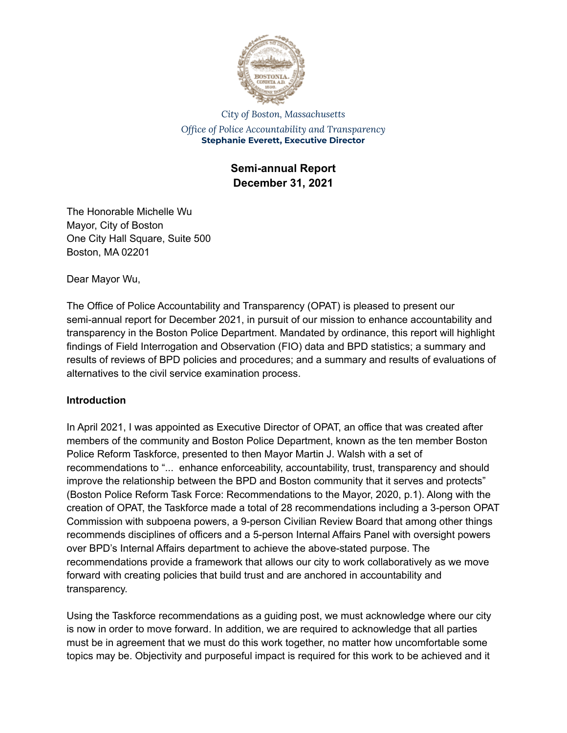

*City of Boston, Massachusetts Office of Police Accountability and Transparency* **Stephanie Everett, Executive Director**

> **Semi-annual Report December 31, 2021**

The Honorable Michelle Wu Mayor, City of Boston One City Hall Square, Suite 500 Boston, MA 02201

Dear Mayor Wu,

The Office of Police Accountability and Transparency (OPAT) is pleased to present our semi-annual report for December 2021, in pursuit of our mission to enhance accountability and transparency in the Boston Police Department. Mandated by ordinance, this report will highlight findings of Field Interrogation and Observation (FIO) data and BPD statistics; a summary and results of reviews of BPD policies and procedures; and a summary and results of evaluations of alternatives to the civil service examination process.

## **Introduction**

In April 2021, I was appointed as Executive Director of OPAT, an office that was created after members of the community and Boston Police Department, known as the ten member Boston Police Reform Taskforce, presented to then Mayor Martin J. Walsh with a set of recommendations to "... enhance enforceability, accountability, trust, transparency and should improve the relationship between the BPD and Boston community that it serves and protects" (Boston Police Reform Task Force: Recommendations to the Mayor, 2020, p.1). Along with the creation of OPAT, the Taskforce made a total of 28 recommendations including a 3-person OPAT Commission with subpoena powers, a 9-person Civilian Review Board that among other things recommends disciplines of officers and a 5-person Internal Affairs Panel with oversight powers over BPD's Internal Affairs department to achieve the above-stated purpose. The recommendations provide a framework that allows our city to work collaboratively as we move forward with creating policies that build trust and are anchored in accountability and transparency.

Using the Taskforce recommendations as a guiding post, we must acknowledge where our city is now in order to move forward. In addition, we are required to acknowledge that all parties must be in agreement that we must do this work together, no matter how uncomfortable some topics may be. Objectivity and purposeful impact is required for this work to be achieved and it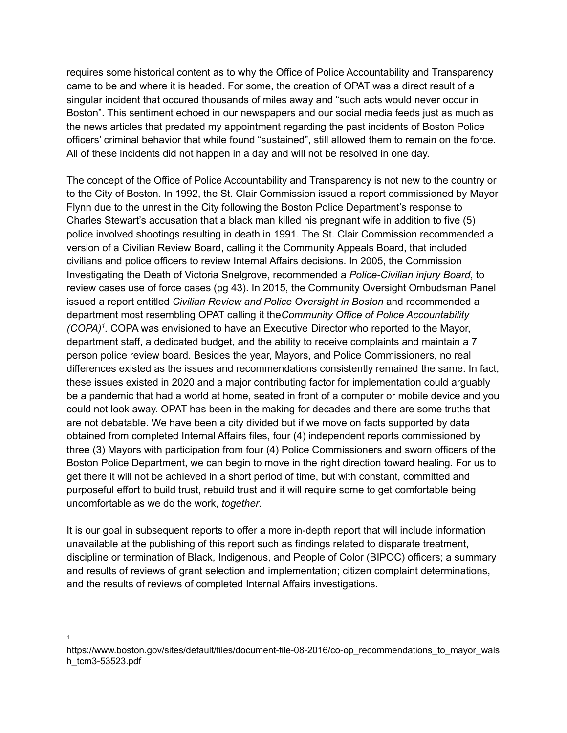requires some historical content as to why the Office of Police Accountability and Transparency came to be and where it is headed. For some, the creation of OPAT was a direct result of a singular incident that occured thousands of miles away and "such acts would never occur in Boston". This sentiment echoed in our newspapers and our social media feeds just as much as the news articles that predated my appointment regarding the past incidents of Boston Police officers' criminal behavior that while found "sustained", still allowed them to remain on the force. All of these incidents did not happen in a day and will not be resolved in one day.

The concept of the Office of Police Accountability and Transparency is not new to the country or to the City of Boston. In 1992, the St. Clair Commission issued a report commissioned by Mayor Flynn due to the unrest in the City following the Boston Police Department's response to Charles Stewart's accusation that a black man killed his pregnant wife in addition to five (5) police involved shootings resulting in death in 1991. The St. Clair Commission recommended a version of a Civilian Review Board, calling it the Community Appeals Board, that included civilians and police officers to review Internal Affairs decisions. In 2005, the Commission Investigating the Death of Victoria Snelgrove, recommended a *Police-Civilian injury Board*, to review cases use of force cases (pg 43). In 2015, the Community Oversight Ombudsman Panel issued a report entitled *Civilian Review and Police Oversight in Boston* and recommended a department most resembling OPAT calling it the*Community Office of Police Accountability (COPA) 1 .* COPA was envisioned to have an Executive Director who reported to the Mayor, department staff, a dedicated budget, and the ability to receive complaints and maintain a 7 person police review board. Besides the year, Mayors, and Police Commissioners, no real differences existed as the issues and recommendations consistently remained the same. In fact, these issues existed in 2020 and a major contributing factor for implementation could arguably be a pandemic that had a world at home, seated in front of a computer or mobile device and you could not look away. OPAT has been in the making for decades and there are some truths that are not debatable. We have been a city divided but if we move on facts supported by data obtained from completed Internal Affairs files, four (4) independent reports commissioned by three (3) Mayors with participation from four (4) Police Commissioners and sworn officers of the Boston Police Department, we can begin to move in the right direction toward healing. For us to get there it will not be achieved in a short period of time, but with constant, committed and purposeful effort to build trust, rebuild trust and it will require some to get comfortable being uncomfortable as we do the work, *together*.

It is our goal in subsequent reports to offer a more in-depth report that will include information unavailable at the publishing of this report such as findings related to disparate treatment, discipline or termination of Black, Indigenous, and People of Color (BIPOC) officers; a summary and results of reviews of grant selection and implementation; citizen complaint determinations, and the results of reviews of completed Internal Affairs investigations.

<sup>1</sup>

https://www.boston.gov/sites/default/files/document-file-08-2016/co-op\_recommendations\_to\_mayor\_wals h\_tcm3-53523.pdf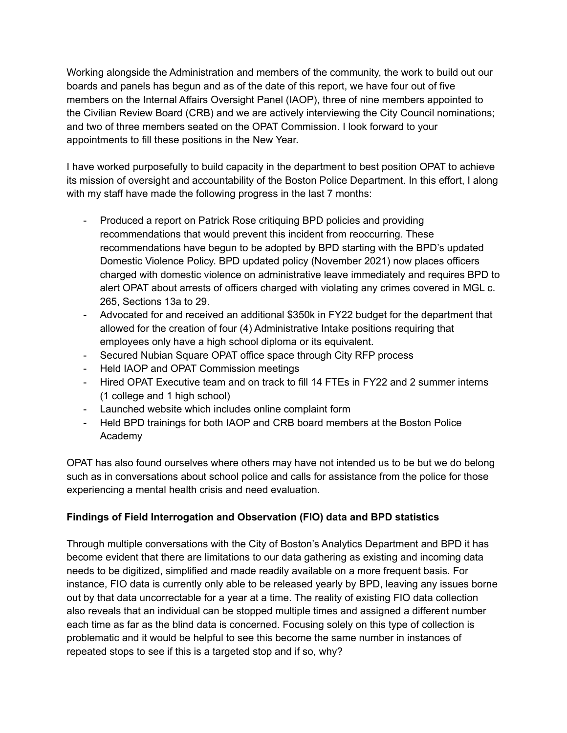Working alongside the Administration and members of the community, the work to build out our boards and panels has begun and as of the date of this report, we have four out of five members on the Internal Affairs Oversight Panel (IAOP), three of nine members appointed to the Civilian Review Board (CRB) and we are actively interviewing the City Council nominations; and two of three members seated on the OPAT Commission. I look forward to your appointments to fill these positions in the New Year.

I have worked purposefully to build capacity in the department to best position OPAT to achieve its mission of oversight and accountability of the Boston Police Department. In this effort, I along with my staff have made the following progress in the last 7 months:

- Produced a report on Patrick Rose critiquing BPD policies and providing recommendations that would prevent this incident from reoccurring. These recommendations have begun to be adopted by BPD starting with the BPD's updated Domestic Violence Policy. BPD updated policy (November 2021) now places officers charged with domestic violence on administrative leave immediately and requires BPD to alert OPAT about arrests of officers charged with violating any crimes covered in MGL c. 265, Sections 13a to 29.
- Advocated for and received an additional \$350k in FY22 budget for the department that allowed for the creation of four (4) Administrative Intake positions requiring that employees only have a high school diploma or its equivalent.
- Secured Nubian Square OPAT office space through City RFP process
- Held IAOP and OPAT Commission meetings
- Hired OPAT Executive team and on track to fill 14 FTEs in FY22 and 2 summer interns (1 college and 1 high school)
- Launched website which includes online complaint form
- Held BPD trainings for both IAOP and CRB board members at the Boston Police Academy

OPAT has also found ourselves where others may have not intended us to be but we do belong such as in conversations about school police and calls for assistance from the police for those experiencing a mental health crisis and need evaluation.

# **Findings of Field Interrogation and Observation (FIO) data and BPD statistics**

Through multiple conversations with the City of Boston's Analytics Department and BPD it has become evident that there are limitations to our data gathering as existing and incoming data needs to be digitized, simplified and made readily available on a more frequent basis. For instance, FIO data is currently only able to be released yearly by BPD, leaving any issues borne out by that data uncorrectable for a year at a time. The reality of existing FIO data collection also reveals that an individual can be stopped multiple times and assigned a different number each time as far as the blind data is concerned. Focusing solely on this type of collection is problematic and it would be helpful to see this become the same number in instances of repeated stops to see if this is a targeted stop and if so, why?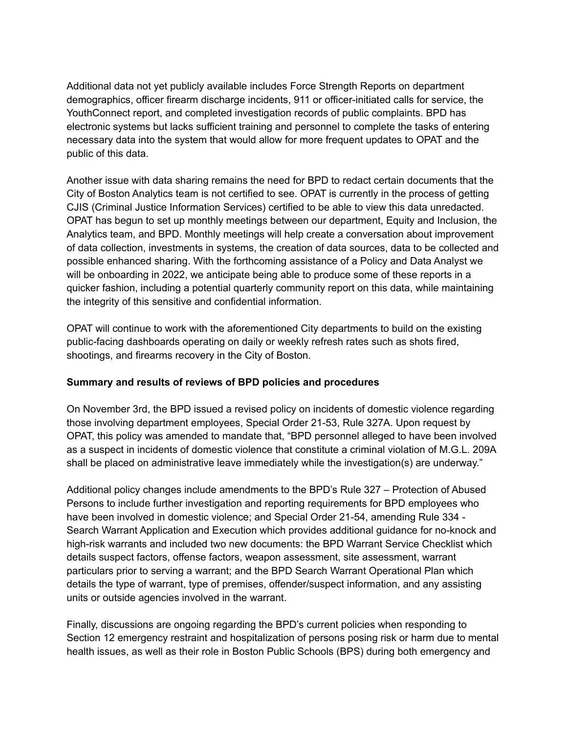Additional data not yet publicly available includes Force Strength Reports on department demographics, officer firearm discharge incidents, 911 or officer-initiated calls for service, the YouthConnect report, and completed investigation records of public complaints. BPD has electronic systems but lacks sufficient training and personnel to complete the tasks of entering necessary data into the system that would allow for more frequent updates to OPAT and the public of this data.

Another issue with data sharing remains the need for BPD to redact certain documents that the City of Boston Analytics team is not certified to see. OPAT is currently in the process of getting CJIS (Criminal Justice Information Services) certified to be able to view this data unredacted. OPAT has begun to set up monthly meetings between our department, Equity and Inclusion, the Analytics team, and BPD. Monthly meetings will help create a conversation about improvement of data collection, investments in systems, the creation of data sources, data to be collected and possible enhanced sharing. With the forthcoming assistance of a Policy and Data Analyst we will be onboarding in 2022, we anticipate being able to produce some of these reports in a quicker fashion, including a potential quarterly community report on this data, while maintaining the integrity of this sensitive and confidential information.

OPAT will continue to work with the aforementioned City departments to build on the existing public-facing dashboards operating on daily or weekly refresh rates such as shots fired, shootings, and firearms recovery in the City of Boston.

### **Summary and results of reviews of BPD policies and procedures**

On November 3rd, the BPD issued a revised policy on incidents of domestic violence regarding those involving department employees, Special Order 21-53, Rule 327A. Upon request by OPAT, this policy was amended to mandate that, "BPD personnel alleged to have been involved as a suspect in incidents of domestic violence that constitute a criminal violation of M.G.L. 209A shall be placed on administrative leave immediately while the investigation(s) are underway."

Additional policy changes include amendments to the BPD's Rule 327 – Protection of Abused Persons to include further investigation and reporting requirements for BPD employees who have been involved in domestic violence; and Special Order 21-54, amending Rule 334 - Search Warrant Application and Execution which provides additional guidance for no-knock and high-risk warrants and included two new documents: the BPD Warrant Service Checklist which details suspect factors, offense factors, weapon assessment, site assessment, warrant particulars prior to serving a warrant; and the BPD Search Warrant Operational Plan which details the type of warrant, type of premises, offender/suspect information, and any assisting units or outside agencies involved in the warrant.

Finally, discussions are ongoing regarding the BPD's current policies when responding to Section 12 emergency restraint and hospitalization of persons posing risk or harm due to mental health issues, as well as their role in Boston Public Schools (BPS) during both emergency and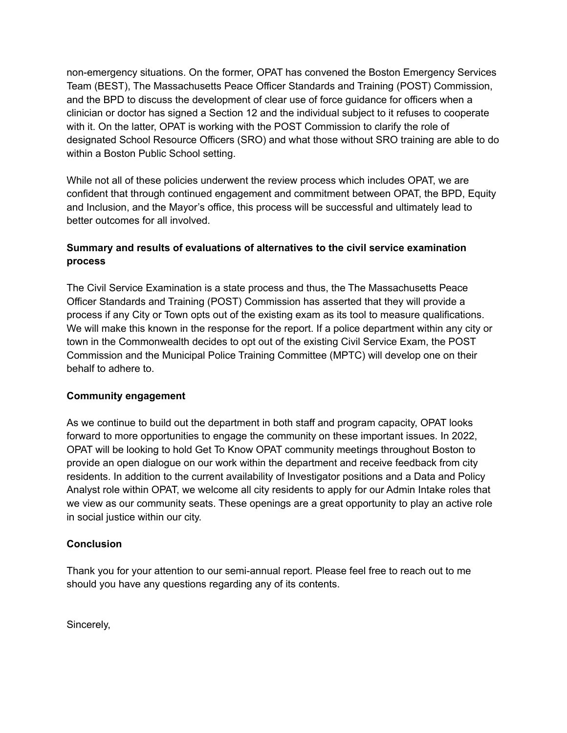non-emergency situations. On the former, OPAT has convened the Boston Emergency Services Team (BEST), The Massachusetts Peace Officer Standards and Training (POST) Commission, and the BPD to discuss the development of clear use of force guidance for officers when a clinician or doctor has signed a Section 12 and the individual subject to it refuses to cooperate with it. On the latter, OPAT is working with the POST Commission to clarify the role of designated School Resource Officers (SRO) and what those without SRO training are able to do within a Boston Public School setting.

While not all of these policies underwent the review process which includes OPAT, we are confident that through continued engagement and commitment between OPAT, the BPD, Equity and Inclusion, and the Mayor's office, this process will be successful and ultimately lead to better outcomes for all involved.

## **Summary and results of evaluations of alternatives to the civil service examination process**

The Civil Service Examination is a state process and thus, the The Massachusetts Peace Officer Standards and Training (POST) Commission has asserted that they will provide a process if any City or Town opts out of the existing exam as its tool to measure qualifications. We will make this known in the response for the report. If a police department within any city or town in the Commonwealth decides to opt out of the existing Civil Service Exam, the POST Commission and the Municipal Police Training Committee (MPTC) will develop one on their behalf to adhere to.

### **Community engagement**

As we continue to build out the department in both staff and program capacity, OPAT looks forward to more opportunities to engage the community on these important issues. In 2022, OPAT will be looking to hold Get To Know OPAT community meetings throughout Boston to provide an open dialogue on our work within the department and receive feedback from city residents. In addition to the current availability of Investigator positions and a Data and Policy Analyst role within OPAT, we welcome all city residents to apply for our Admin Intake roles that we view as our community seats. These openings are a great opportunity to play an active role in social justice within our city.

## **Conclusion**

Thank you for your attention to our semi-annual report. Please feel free to reach out to me should you have any questions regarding any of its contents.

Sincerely,